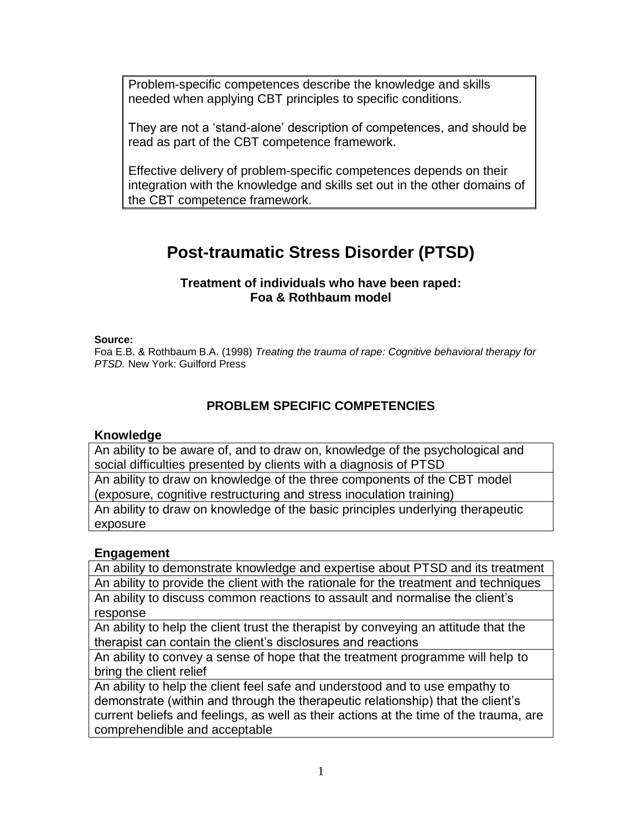Problem-specific competences describe the knowledge and skills needed when applying CBT principles to specific conditions.

They are not a 'stand-alone' description of competences, and should be read as part of the CBT competence framework.

Effective delivery of problem-specific competences depends on their integration with the knowledge and skills set out in the other domains of the CBT competence framework.

# **Post-traumatic Stress Disorder (PTSD)**

#### **Treatment of individuals who have been raped: Foa & Rothbaum model**

#### **Source:**

Foa E.B. & Rothbaum B.A. (1998) *Treating the trauma of rape: Cognitive behavioral therapy for PTSD.* New York: Guilford Press

# **PROBLEM SPECIFIC COMPETENCIES**

#### **Knowledge**

An ability to be aware of, and to draw on, knowledge of the psychological and social difficulties presented by clients with a diagnosis of PTSD An ability to draw on knowledge of the three components of the CBT model (exposure, cognitive restructuring and stress inoculation training) An ability to draw on knowledge of the basic principles underlying therapeutic

# exposure

## **Engagement**

An ability to demonstrate knowledge and expertise about PTSD and its treatment An ability to provide the client with the rationale for the treatment and techniques

An ability to discuss common reactions to assault and normalise the client's response

An ability to help the client trust the therapist by conveying an attitude that the therapist can contain the client's disclosures and reactions

An ability to convey a sense of hope that the treatment programme will help to bring the client relief

An ability to help the client feel safe and understood and to use empathy to demonstrate (within and through the therapeutic relationship) that the client's current beliefs and feelings, as well as their actions at the time of the trauma, are comprehendible and acceptable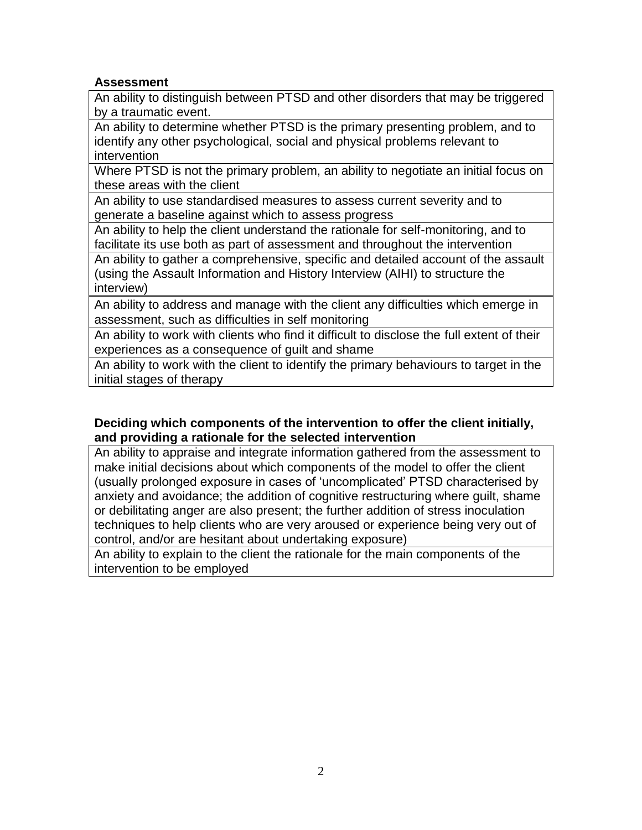## **Assessment**

An ability to distinguish between PTSD and other disorders that may be triggered by a traumatic event.

An ability to determine whether PTSD is the primary presenting problem, and to identify any other psychological, social and physical problems relevant to intervention

Where PTSD is not the primary problem, an ability to negotiate an initial focus on these areas with the client

An ability to use standardised measures to assess current severity and to generate a baseline against which to assess progress

An ability to help the client understand the rationale for self-monitoring, and to facilitate its use both as part of assessment and throughout the intervention

An ability to gather a comprehensive, specific and detailed account of the assault (using the Assault Information and History Interview (AIHI) to structure the interview)

An ability to address and manage with the client any difficulties which emerge in assessment, such as difficulties in self monitoring

An ability to work with clients who find it difficult to disclose the full extent of their experiences as a consequence of guilt and shame

An ability to work with the client to identify the primary behaviours to target in the initial stages of therapy

## **Deciding which components of the intervention to offer the client initially, and providing a rationale for the selected intervention**

An ability to appraise and integrate information gathered from the assessment to make initial decisions about which components of the model to offer the client (usually prolonged exposure in cases of 'uncomplicated' PTSD characterised by anxiety and avoidance; the addition of cognitive restructuring where guilt, shame or debilitating anger are also present; the further addition of stress inoculation techniques to help clients who are very aroused or experience being very out of control, and/or are hesitant about undertaking exposure)

An ability to explain to the client the rationale for the main components of the intervention to be employed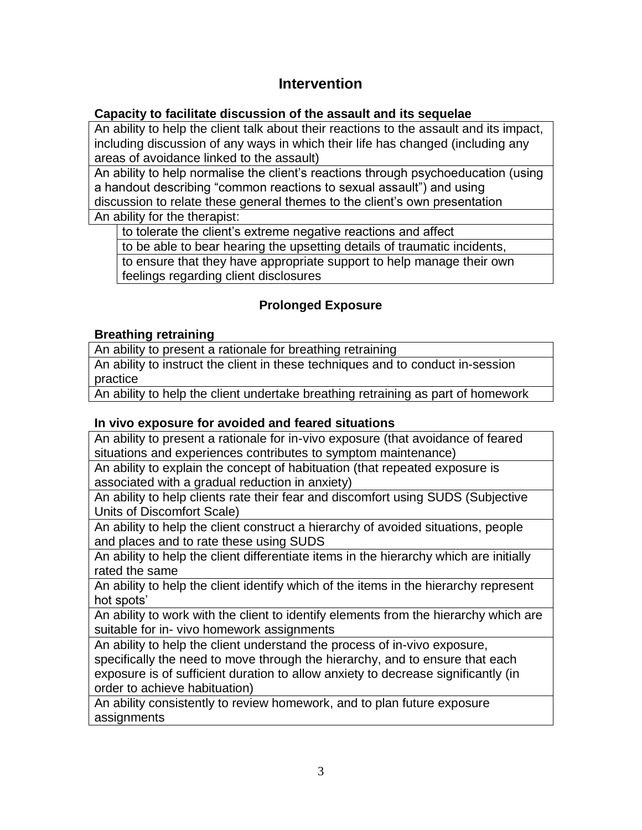# **Intervention**

# **Capacity to facilitate discussion of the assault and its sequelae**

An ability to help the client talk about their reactions to the assault and its impact, including discussion of any ways in which their life has changed (including any areas of avoidance linked to the assault)

An ability to help normalise the client's reactions through psychoeducation (using a handout describing "common reactions to sexual assault") and using discussion to relate these general themes to the client's own presentation

An ability for the therapist:

to tolerate the client's extreme negative reactions and affect

to be able to bear hearing the upsetting details of traumatic incidents,

to ensure that they have appropriate support to help manage their own feelings regarding client disclosures

# **Prolonged Exposure**

# **Breathing retraining**

An ability to present a rationale for breathing retraining

An ability to instruct the client in these techniques and to conduct in-session practice

An ability to help the client undertake breathing retraining as part of homework

# **In vivo exposure for avoided and feared situations**

An ability to present a rationale for in-vivo exposure (that avoidance of feared situations and experiences contributes to symptom maintenance)

An ability to explain the concept of habituation (that repeated exposure is associated with a gradual reduction in anxiety)

An ability to help clients rate their fear and discomfort using SUDS (Subjective Units of Discomfort Scale)

An ability to help the client construct a hierarchy of avoided situations, people and places and to rate these using SUDS

An ability to help the client differentiate items in the hierarchy which are initially rated the same

An ability to help the client identify which of the items in the hierarchy represent hot spots'

An ability to work with the client to identify elements from the hierarchy which are suitable for in- vivo homework assignments

An ability to help the client understand the process of in-vivo exposure, specifically the need to move through the hierarchy, and to ensure that each exposure is of sufficient duration to allow anxiety to decrease significantly (in order to achieve habituation)

An ability consistently to review homework, and to plan future exposure assignments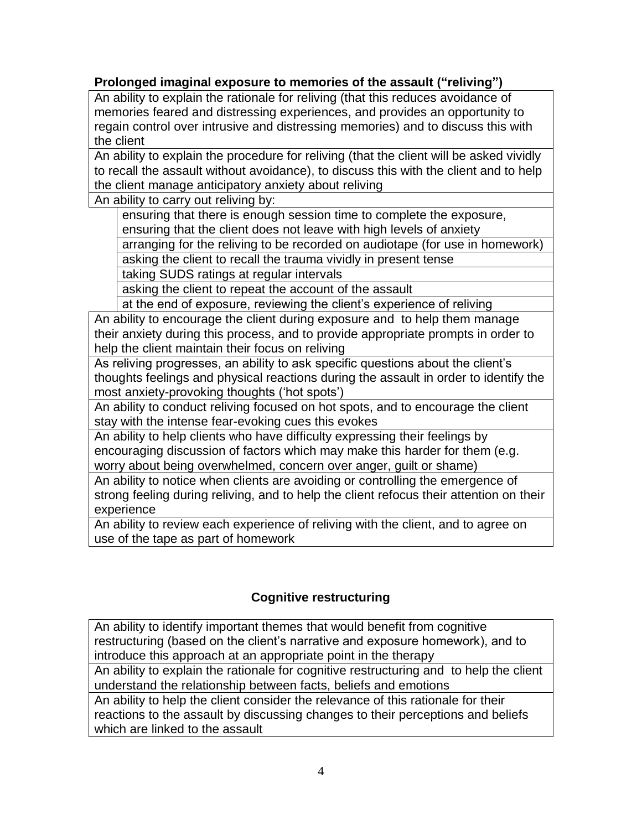# **Prolonged imaginal exposure to memories of the assault ("reliving")**

An ability to explain the rationale for reliving (that this reduces avoidance of memories feared and distressing experiences, and provides an opportunity to regain control over intrusive and distressing memories) and to discuss this with the client

An ability to explain the procedure for reliving (that the client will be asked vividly to recall the assault without avoidance), to discuss this with the client and to help the client manage anticipatory anxiety about reliving

An ability to carry out reliving by:

ensuring that there is enough session time to complete the exposure, ensuring that the client does not leave with high levels of anxiety

arranging for the reliving to be recorded on audiotape (for use in homework)

asking the client to recall the trauma vividly in present tense

taking SUDS ratings at regular intervals

asking the client to repeat the account of the assault

at the end of exposure, reviewing the client's experience of reliving

An ability to encourage the client during exposure and to help them manage their anxiety during this process, and to provide appropriate prompts in order to help the client maintain their focus on reliving

As reliving progresses, an ability to ask specific questions about the client's thoughts feelings and physical reactions during the assault in order to identify the most anxiety-provoking thoughts ('hot spots')

An ability to conduct reliving focused on hot spots, and to encourage the client stay with the intense fear-evoking cues this evokes

An ability to help clients who have difficulty expressing their feelings by encouraging discussion of factors which may make this harder for them (e.g. worry about being overwhelmed, concern over anger, guilt or shame)

An ability to notice when clients are avoiding or controlling the emergence of strong feeling during reliving, and to help the client refocus their attention on their experience

An ability to review each experience of reliving with the client, and to agree on use of the tape as part of homework

# **Cognitive restructuring**

An ability to identify important themes that would benefit from cognitive restructuring (based on the client's narrative and exposure homework), and to introduce this approach at an appropriate point in the therapy

An ability to explain the rationale for cognitive restructuring and to help the client understand the relationship between facts, beliefs and emotions

An ability to help the client consider the relevance of this rationale for their reactions to the assault by discussing changes to their perceptions and beliefs which are linked to the assault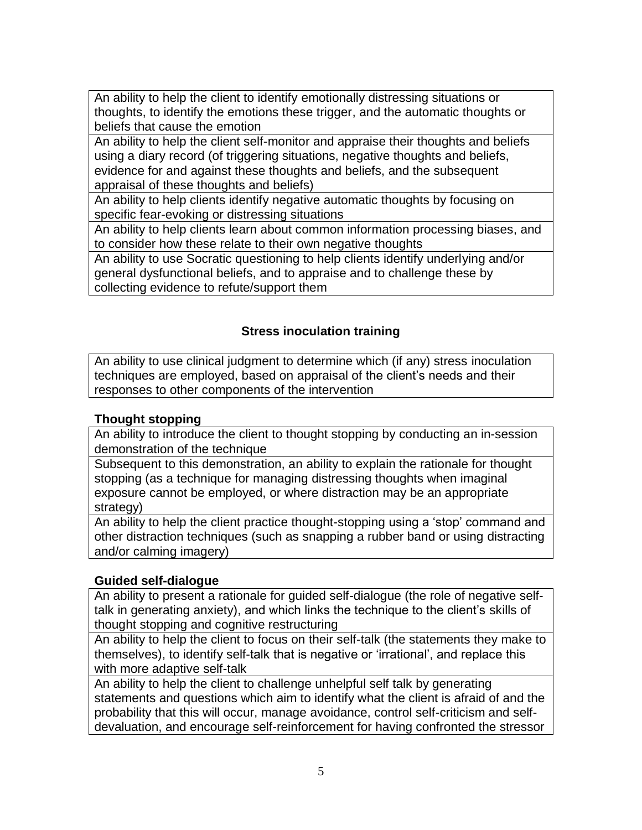An ability to help the client to identify emotionally distressing situations or thoughts, to identify the emotions these trigger, and the automatic thoughts or beliefs that cause the emotion

An ability to help the client self-monitor and appraise their thoughts and beliefs using a diary record (of triggering situations, negative thoughts and beliefs, evidence for and against these thoughts and beliefs, and the subsequent appraisal of these thoughts and beliefs)

An ability to help clients identify negative automatic thoughts by focusing on specific fear-evoking or distressing situations

An ability to help clients learn about common information processing biases, and to consider how these relate to their own negative thoughts

An ability to use Socratic questioning to help clients identify underlying and/or general dysfunctional beliefs, and to appraise and to challenge these by collecting evidence to refute/support them

# **Stress inoculation training**

An ability to use clinical judgment to determine which (if any) stress inoculation techniques are employed, based on appraisal of the client's needs and their responses to other components of the intervention

# **Thought stopping**

An ability to introduce the client to thought stopping by conducting an in-session demonstration of the technique

Subsequent to this demonstration, an ability to explain the rationale for thought stopping (as a technique for managing distressing thoughts when imaginal exposure cannot be employed, or where distraction may be an appropriate strategy)

An ability to help the client practice thought-stopping using a 'stop' command and other distraction techniques (such as snapping a rubber band or using distracting and/or calming imagery)

## **Guided self-dialogue**

An ability to present a rationale for guided self-dialogue (the role of negative selftalk in generating anxiety), and which links the technique to the client's skills of thought stopping and cognitive restructuring

An ability to help the client to focus on their self-talk (the statements they make to themselves), to identify self-talk that is negative or 'irrational', and replace this with more adaptive self-talk

An ability to help the client to challenge unhelpful self talk by generating statements and questions which aim to identify what the client is afraid of and the probability that this will occur, manage avoidance, control self-criticism and selfdevaluation, and encourage self-reinforcement for having confronted the stressor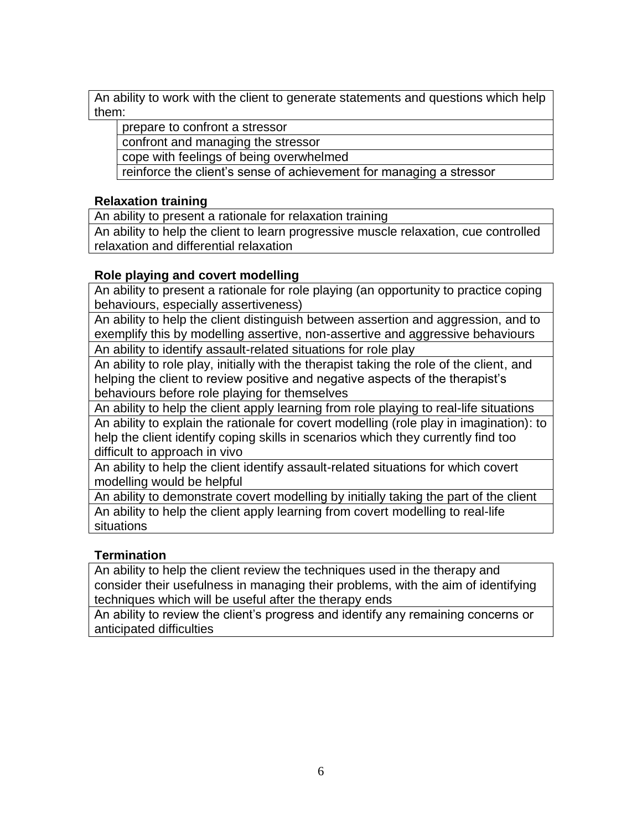An ability to work with the client to generate statements and questions which help them:

prepare to confront a stressor

confront and managing the stressor

cope with feelings of being overwhelmed

reinforce the client's sense of achievement for managing a stressor

#### **Relaxation training**

An ability to present a rationale for relaxation training

An ability to help the client to learn progressive muscle relaxation, cue controlled relaxation and differential relaxation

## **Role playing and covert modelling**

An ability to present a rationale for role playing (an opportunity to practice coping behaviours, especially assertiveness)

An ability to help the client distinguish between assertion and aggression, and to exemplify this by modelling assertive, non-assertive and aggressive behaviours

An ability to identify assault-related situations for role play

An ability to role play, initially with the therapist taking the role of the client, and helping the client to review positive and negative aspects of the therapist's behaviours before role playing for themselves

An ability to help the client apply learning from role playing to real-life situations

An ability to explain the rationale for covert modelling (role play in imagination): to help the client identify coping skills in scenarios which they currently find too difficult to approach in vivo

An ability to help the client identify assault-related situations for which covert modelling would be helpful

An ability to demonstrate covert modelling by initially taking the part of the client An ability to help the client apply learning from covert modelling to real-life situations

## **Termination**

An ability to help the client review the techniques used in the therapy and consider their usefulness in managing their problems, with the aim of identifying techniques which will be useful after the therapy ends

An ability to review the client's progress and identify any remaining concerns or anticipated difficulties